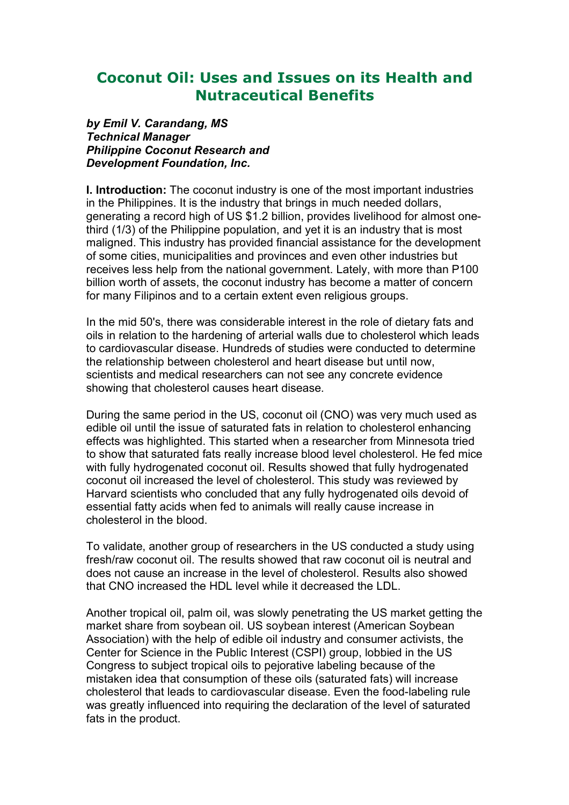# **Coconut Oil: Uses and Issues on its Health and Nutraceutical Benefits**

*by Emil V. Carandang, MS Technical Manager Philippine Coconut Research and Development Foundation, Inc.*

**I. Introduction:** The coconut industry is one of the most important industries in the Philippines. It is the industry that brings in much needed dollars, generating a record high of US \$1.2 billion, provides livelihood for almost onethird (1/3) of the Philippine population, and yet it is an industry that is most maligned. This industry has provided financial assistance for the development of some cities, municipalities and provinces and even other industries but receives less help from the national government. Lately, with more than P100 billion worth of assets, the coconut industry has become a matter of concern for many Filipinos and to a certain extent even religious groups.

In the mid 50's, there was considerable interest in the role of dietary fats and oils in relation to the hardening of arterial walls due to cholesterol which leads to cardiovascular disease. Hundreds of studies were conducted to determine the relationship between cholesterol and heart disease but until now, scientists and medical researchers can not see any concrete evidence showing that cholesterol causes heart disease.

During the same period in the US, coconut oil (CNO) was very much used as edible oil until the issue of saturated fats in relation to cholesterol enhancing effects was highlighted. This started when a researcher from Minnesota tried to show that saturated fats really increase blood level cholesterol. He fed mice with fully hydrogenated coconut oil. Results showed that fully hydrogenated coconut oil increased the level of cholesterol. This study was reviewed by Harvard scientists who concluded that any fully hydrogenated oils devoid of essential fatty acids when fed to animals will really cause increase in cholesterol in the blood.

To validate, another group of researchers in the US conducted a study using fresh/raw coconut oil. The results showed that raw coconut oil is neutral and does not cause an increase in the level of cholesterol. Results also showed that CNO increased the HDL level while it decreased the LDL.

Another tropical oil, palm oil, was slowly penetrating the US market getting the market share from soybean oil. US soybean interest (American Soybean Association) with the help of edible oil industry and consumer activists, the Center for Science in the Public Interest (CSPI) group, lobbied in the US Congress to subject tropical oils to pejorative labeling because of the mistaken idea that consumption of these oils (saturated fats) will increase cholesterol that leads to cardiovascular disease. Even the food-labeling rule was greatly influenced into requiring the declaration of the level of saturated fats in the product.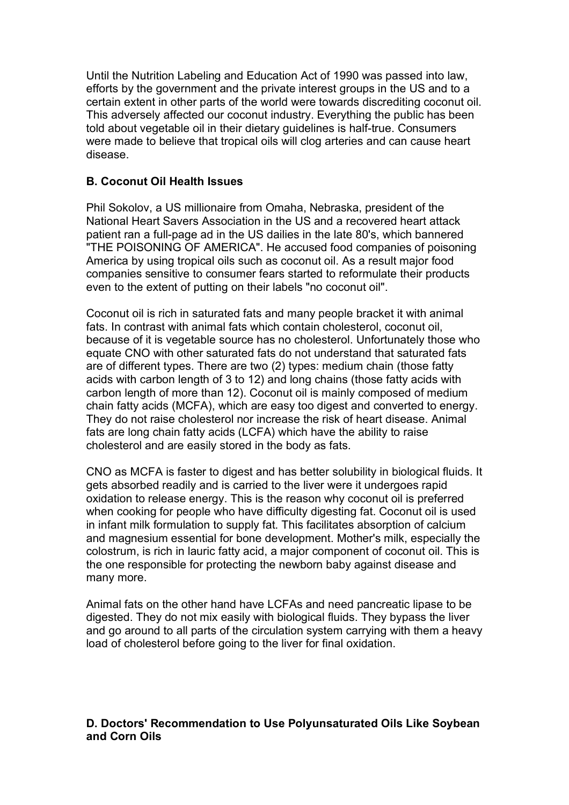Until the Nutrition Labeling and Education Act of 1990 was passed into law, efforts by the government and the private interest groups in the US and to a certain extent in other parts of the world were towards discrediting coconut oil. This adversely affected our coconut industry. Everything the public has been told about vegetable oil in their dietary guidelines is half-true. Consumers were made to believe that tropical oils will clog arteries and can cause heart disease.

# **B. Coconut Oil Health Issues**

Phil Sokolov, a US millionaire from Omaha, Nebraska, president of the National Heart Savers Association in the US and a recovered heart attack patient ran a full-page ad in the US dailies in the late 80's, which bannered "THE POISONING OF AMERICA". He accused food companies of poisoning America by using tropical oils such as coconut oil. As a result major food companies sensitive to consumer fears started to reformulate their products even to the extent of putting on their labels "no coconut oil".

Coconut oil is rich in saturated fats and many people bracket it with animal fats. In contrast with animal fats which contain cholesterol, coconut oil, because of it is vegetable source has no cholesterol. Unfortunately those who equate CNO with other saturated fats do not understand that saturated fats are of different types. There are two (2) types: medium chain (those fatty acids with carbon length of 3 to 12) and long chains (those fatty acids with carbon length of more than 12). Coconut oil is mainly composed of medium chain fatty acids (MCFA), which are easy too digest and converted to energy. They do not raise cholesterol nor increase the risk of heart disease. Animal fats are long chain fatty acids (LCFA) which have the ability to raise cholesterol and are easily stored in the body as fats.

CNO as MCFA is faster to digest and has better solubility in biological fluids. It gets absorbed readily and is carried to the liver were it undergoes rapid oxidation to release energy. This is the reason why coconut oil is preferred when cooking for people who have difficulty digesting fat. Coconut oil is used in infant milk formulation to supply fat. This facilitates absorption of calcium and magnesium essential for bone development. Mother's milk, especially the colostrum, is rich in lauric fatty acid, a major component of coconut oil. This is the one responsible for protecting the newborn baby against disease and many more.

Animal fats on the other hand have LCFAs and need pancreatic lipase to be digested. They do not mix easily with biological fluids. They bypass the liver and go around to all parts of the circulation system carrying with them a heavy load of cholesterol before going to the liver for final oxidation.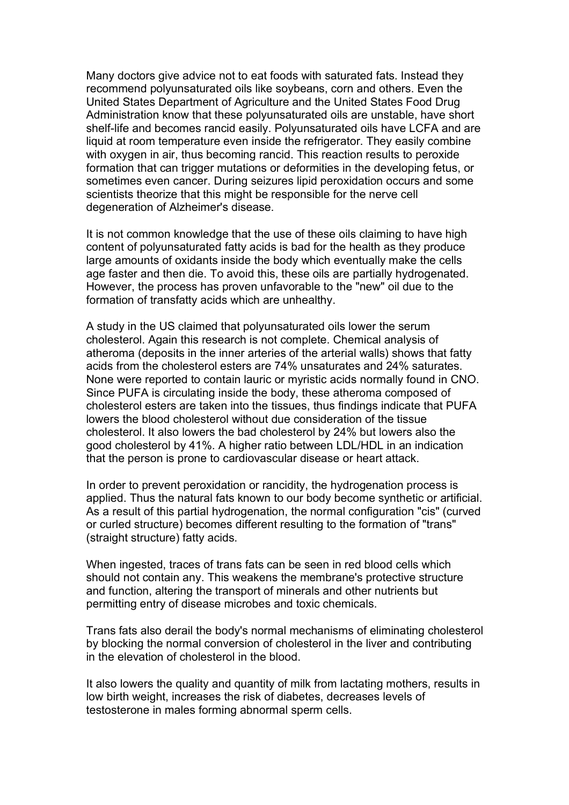Many doctors give advice not to eat foods with saturated fats. Instead they recommend polyunsaturated oils like soybeans, corn and others. Even the United States Department of Agriculture and the United States Food Drug Administration know that these polyunsaturated oils are unstable, have short shelf-life and becomes rancid easily. Polyunsaturated oils have LCFA and are liquid at room temperature even inside the refrigerator. They easily combine with oxygen in air, thus becoming rancid. This reaction results to peroxide formation that can trigger mutations or deformities in the developing fetus, or sometimes even cancer. During seizures lipid peroxidation occurs and some scientists theorize that this might be responsible for the nerve cell degeneration of Alzheimer's disease.

It is not common knowledge that the use of these oils claiming to have high content of polyunsaturated fatty acids is bad for the health as they produce large amounts of oxidants inside the body which eventually make the cells age faster and then die. To avoid this, these oils are partially hydrogenated. However, the process has proven unfavorable to the "new" oil due to the formation of transfatty acids which are unhealthy.

A study in the US claimed that polyunsaturated oils lower the serum cholesterol. Again this research is not complete. Chemical analysis of atheroma (deposits in the inner arteries of the arterial walls) shows that fatty acids from the cholesterol esters are 74% unsaturates and 24% saturates. None were reported to contain lauric or myristic acids normally found in CNO. Since PUFA is circulating inside the body, these atheroma composed of cholesterol esters are taken into the tissues, thus findings indicate that PUFA lowers the blood cholesterol without due consideration of the tissue cholesterol. It also lowers the bad cholesterol by 24% but lowers also the good cholesterol by 41%. A higher ratio between LDL/HDL in an indication that the person is prone to cardiovascular disease or heart attack.

In order to prevent peroxidation or rancidity, the hydrogenation process is applied. Thus the natural fats known to our body become synthetic or artificial. As a result of this partial hydrogenation, the normal configuration "cis" (curved or curled structure) becomes different resulting to the formation of "trans" (straight structure) fatty acids.

When ingested, traces of trans fats can be seen in red blood cells which should not contain any. This weakens the membrane's protective structure and function, altering the transport of minerals and other nutrients but permitting entry of disease microbes and toxic chemicals.

Trans fats also derail the body's normal mechanisms of eliminating cholesterol by blocking the normal conversion of cholesterol in the liver and contributing in the elevation of cholesterol in the blood.

It also lowers the quality and quantity of milk from lactating mothers, results in low birth weight, increases the risk of diabetes, decreases levels of testosterone in males forming abnormal sperm cells.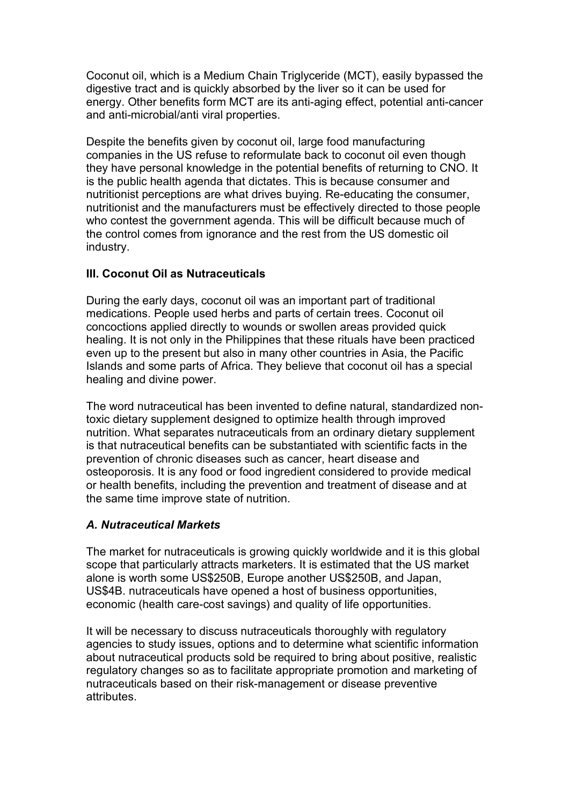Coconut oil, which is a Medium Chain Triglyceride (MCT), easily bypassed the digestive tract and is quickly absorbed by the liver so it can be used for energy. Other benefits form MCT are its anti-aging effect, potential anti-cancer and anti-microbial/anti viral properties.

Despite the benefits given by coconut oil, large food manufacturing companies in the US refuse to reformulate back to coconut oil even though they have personal knowledge in the potential benefits of returning to CNO. It is the public health agenda that dictates. This is because consumer and nutritionist perceptions are what drives buying. Re-educating the consumer, nutritionist and the manufacturers must be effectively directed to those people who contest the government agenda. This will be difficult because much of the control comes from ignorance and the rest from the US domestic oil industry.

# **III. Coconut Oil as Nutraceuticals**

During the early days, coconut oil was an important part of traditional medications. People used herbs and parts of certain trees. Coconut oil concoctions applied directly to wounds or swollen areas provided quick healing. It is not only in the Philippines that these rituals have been practiced even up to the present but also in many other countries in Asia, the Pacific Islands and some parts of Africa. They believe that coconut oil has a special healing and divine power.

The word nutraceutical has been invented to define natural, standardized nontoxic dietary supplement designed to optimize health through improved nutrition. What separates nutraceuticals from an ordinary dietary supplement is that nutraceutical benefits can be substantiated with scientific facts in the prevention of chronic diseases such as cancer, heart disease and osteoporosis. It is any food or food ingredient considered to provide medical or health benefits, including the prevention and treatment of disease and at the same time improve state of nutrition.

# *A. Nutraceutical Markets*

The market for nutraceuticals is growing quickly worldwide and it is this global scope that particularly attracts marketers. It is estimated that the US market alone is worth some US\$250B, Europe another US\$250B, and Japan, US\$4B. nutraceuticals have opened a host of business opportunities, economic (health care-cost savings) and quality of life opportunities.

It will be necessary to discuss nutraceuticals thoroughly with regulatory agencies to study issues, options and to determine what scientific information about nutraceutical products sold be required to bring about positive, realistic regulatory changes so as to facilitate appropriate promotion and marketing of nutraceuticals based on their risk-management or disease preventive attributes.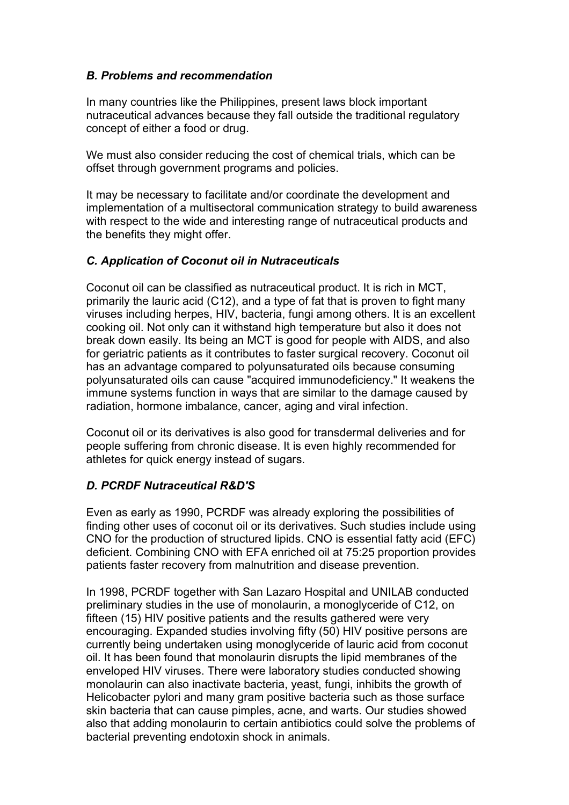# *B. Problems and recommendation*

In many countries like the Philippines, present laws block important nutraceutical advances because they fall outside the traditional regulatory concept of either a food or drug.

We must also consider reducing the cost of chemical trials, which can be offset through government programs and policies.

It may be necessary to facilitate and/or coordinate the development and implementation of a multisectoral communication strategy to build awareness with respect to the wide and interesting range of nutraceutical products and the benefits they might offer.

### *C. Application of Coconut oil in Nutraceuticals*

Coconut oil can be classified as nutraceutical product. It is rich in MCT, primarily the lauric acid (C12), and a type of fat that is proven to fight many viruses including herpes, HIV, bacteria, fungi among others. It is an excellent cooking oil. Not only can it withstand high temperature but also it does not break down easily. Its being an MCT is good for people with AIDS, and also for geriatric patients as it contributes to faster surgical recovery. Coconut oil has an advantage compared to polyunsaturated oils because consuming polyunsaturated oils can cause "acquired immunodeficiency." It weakens the immune systems function in ways that are similar to the damage caused by radiation, hormone imbalance, cancer, aging and viral infection.

Coconut oil or its derivatives is also good for transdermal deliveries and for people suffering from chronic disease. It is even highly recommended for athletes for quick energy instead of sugars.

# *D. PCRDF Nutraceutical R&D'S*

Even as early as 1990, PCRDF was already exploring the possibilities of finding other uses of coconut oil or its derivatives. Such studies include using CNO for the production of structured lipids. CNO is essential fatty acid (EFC) deficient. Combining CNO with EFA enriched oil at 75:25 proportion provides patients faster recovery from malnutrition and disease prevention.

In 1998, PCRDF together with San Lazaro Hospital and UNILAB conducted preliminary studies in the use of monolaurin, a monoglyceride of C12, on fifteen (15) HIV positive patients and the results gathered were very encouraging. Expanded studies involving fifty (50) HIV positive persons are currently being undertaken using monoglyceride of lauric acid from coconut oil. It has been found that monolaurin disrupts the lipid membranes of the enveloped HIV viruses. There were laboratory studies conducted showing monolaurin can also inactivate bacteria, yeast, fungi, inhibits the growth of Helicobacter pylori and many gram positive bacteria such as those surface skin bacteria that can cause pimples, acne, and warts. Our studies showed also that adding monolaurin to certain antibiotics could solve the problems of bacterial preventing endotoxin shock in animals.